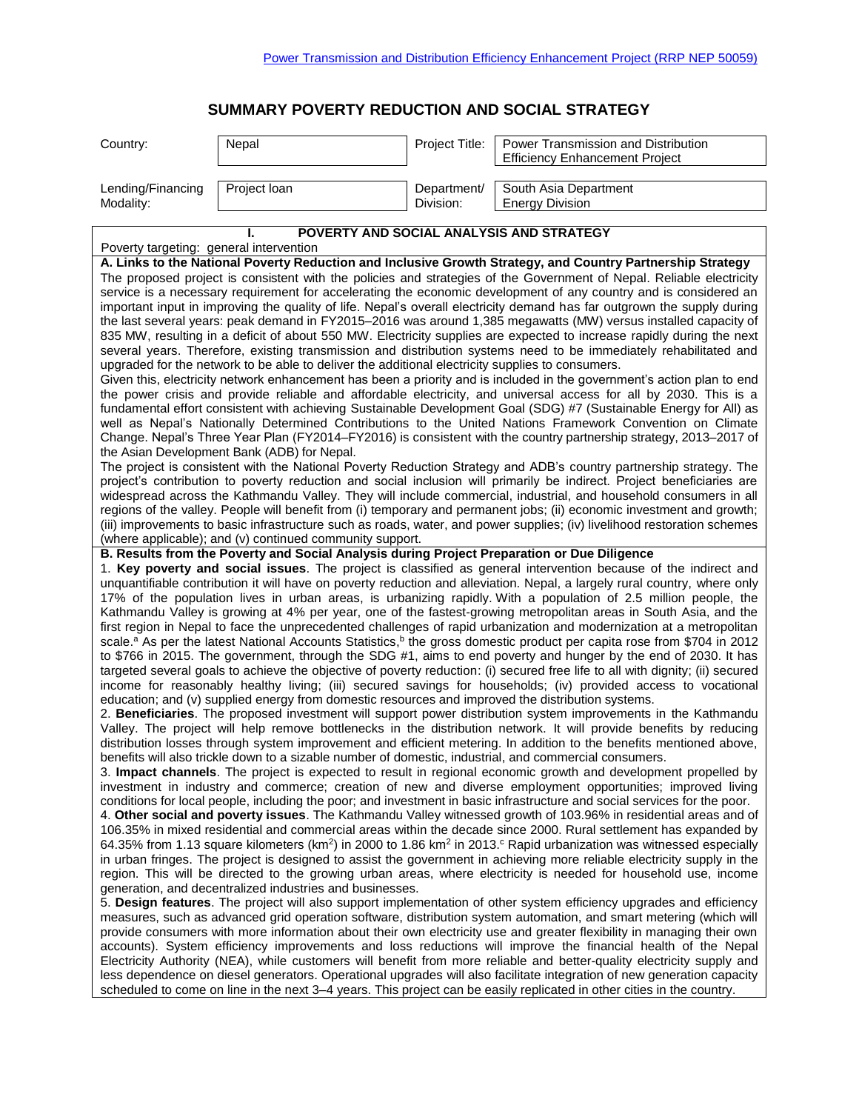## **SUMMARY POVERTY REDUCTION AND SOCIAL STRATEGY**

| Country:                                                                                                                                                                                                                                                                                                                                                                                                                                                                                                                                                                                                                                                                                                                                                                                                                                                                                                                                                                                                                                                                                                                                                                                                                                                                                                                                                                                                                                                                                                                                                                                                                                                                                                                                                                                                                                                                                                                                                                                                                                                                                                                                                                                                                                                                                                                                                                                                                                                                                                                                                                                                                                                                                                                                                                                                                                                                                                                                                                                                                                                                                                                                                                                                                                                                                                                                                                                                                                                                                                                                                                                                                | Nepal                                                    | Project Title: | Power Transmission and Distribution      |  |
|-------------------------------------------------------------------------------------------------------------------------------------------------------------------------------------------------------------------------------------------------------------------------------------------------------------------------------------------------------------------------------------------------------------------------------------------------------------------------------------------------------------------------------------------------------------------------------------------------------------------------------------------------------------------------------------------------------------------------------------------------------------------------------------------------------------------------------------------------------------------------------------------------------------------------------------------------------------------------------------------------------------------------------------------------------------------------------------------------------------------------------------------------------------------------------------------------------------------------------------------------------------------------------------------------------------------------------------------------------------------------------------------------------------------------------------------------------------------------------------------------------------------------------------------------------------------------------------------------------------------------------------------------------------------------------------------------------------------------------------------------------------------------------------------------------------------------------------------------------------------------------------------------------------------------------------------------------------------------------------------------------------------------------------------------------------------------------------------------------------------------------------------------------------------------------------------------------------------------------------------------------------------------------------------------------------------------------------------------------------------------------------------------------------------------------------------------------------------------------------------------------------------------------------------------------------------------------------------------------------------------------------------------------------------------------------------------------------------------------------------------------------------------------------------------------------------------------------------------------------------------------------------------------------------------------------------------------------------------------------------------------------------------------------------------------------------------------------------------------------------------------------------------------------------------------------------------------------------------------------------------------------------------------------------------------------------------------------------------------------------------------------------------------------------------------------------------------------------------------------------------------------------------------------------------------------------------------------------------------------------------|----------------------------------------------------------|----------------|------------------------------------------|--|
|                                                                                                                                                                                                                                                                                                                                                                                                                                                                                                                                                                                                                                                                                                                                                                                                                                                                                                                                                                                                                                                                                                                                                                                                                                                                                                                                                                                                                                                                                                                                                                                                                                                                                                                                                                                                                                                                                                                                                                                                                                                                                                                                                                                                                                                                                                                                                                                                                                                                                                                                                                                                                                                                                                                                                                                                                                                                                                                                                                                                                                                                                                                                                                                                                                                                                                                                                                                                                                                                                                                                                                                                                         |                                                          |                |                                          |  |
|                                                                                                                                                                                                                                                                                                                                                                                                                                                                                                                                                                                                                                                                                                                                                                                                                                                                                                                                                                                                                                                                                                                                                                                                                                                                                                                                                                                                                                                                                                                                                                                                                                                                                                                                                                                                                                                                                                                                                                                                                                                                                                                                                                                                                                                                                                                                                                                                                                                                                                                                                                                                                                                                                                                                                                                                                                                                                                                                                                                                                                                                                                                                                                                                                                                                                                                                                                                                                                                                                                                                                                                                                         |                                                          |                | <b>Efficiency Enhancement Project</b>    |  |
| Lending/Financing                                                                                                                                                                                                                                                                                                                                                                                                                                                                                                                                                                                                                                                                                                                                                                                                                                                                                                                                                                                                                                                                                                                                                                                                                                                                                                                                                                                                                                                                                                                                                                                                                                                                                                                                                                                                                                                                                                                                                                                                                                                                                                                                                                                                                                                                                                                                                                                                                                                                                                                                                                                                                                                                                                                                                                                                                                                                                                                                                                                                                                                                                                                                                                                                                                                                                                                                                                                                                                                                                                                                                                                                       | Project loan                                             | Department/    | South Asia Department                    |  |
| Modality:                                                                                                                                                                                                                                                                                                                                                                                                                                                                                                                                                                                                                                                                                                                                                                                                                                                                                                                                                                                                                                                                                                                                                                                                                                                                                                                                                                                                                                                                                                                                                                                                                                                                                                                                                                                                                                                                                                                                                                                                                                                                                                                                                                                                                                                                                                                                                                                                                                                                                                                                                                                                                                                                                                                                                                                                                                                                                                                                                                                                                                                                                                                                                                                                                                                                                                                                                                                                                                                                                                                                                                                                               |                                                          | Division:      | <b>Energy Division</b>                   |  |
|                                                                                                                                                                                                                                                                                                                                                                                                                                                                                                                                                                                                                                                                                                                                                                                                                                                                                                                                                                                                                                                                                                                                                                                                                                                                                                                                                                                                                                                                                                                                                                                                                                                                                                                                                                                                                                                                                                                                                                                                                                                                                                                                                                                                                                                                                                                                                                                                                                                                                                                                                                                                                                                                                                                                                                                                                                                                                                                                                                                                                                                                                                                                                                                                                                                                                                                                                                                                                                                                                                                                                                                                                         |                                                          |                |                                          |  |
|                                                                                                                                                                                                                                                                                                                                                                                                                                                                                                                                                                                                                                                                                                                                                                                                                                                                                                                                                                                                                                                                                                                                                                                                                                                                                                                                                                                                                                                                                                                                                                                                                                                                                                                                                                                                                                                                                                                                                                                                                                                                                                                                                                                                                                                                                                                                                                                                                                                                                                                                                                                                                                                                                                                                                                                                                                                                                                                                                                                                                                                                                                                                                                                                                                                                                                                                                                                                                                                                                                                                                                                                                         |                                                          |                | POVERTY AND SOCIAL ANALYSIS AND STRATEGY |  |
| Poverty targeting: general intervention                                                                                                                                                                                                                                                                                                                                                                                                                                                                                                                                                                                                                                                                                                                                                                                                                                                                                                                                                                                                                                                                                                                                                                                                                                                                                                                                                                                                                                                                                                                                                                                                                                                                                                                                                                                                                                                                                                                                                                                                                                                                                                                                                                                                                                                                                                                                                                                                                                                                                                                                                                                                                                                                                                                                                                                                                                                                                                                                                                                                                                                                                                                                                                                                                                                                                                                                                                                                                                                                                                                                                                                 |                                                          |                |                                          |  |
| A. Links to the National Poverty Reduction and Inclusive Growth Strategy, and Country Partnership Strategy<br>The proposed project is consistent with the policies and strategies of the Government of Nepal. Reliable electricity<br>service is a necessary requirement for accelerating the economic development of any country and is considered an<br>important input in improving the quality of life. Nepal's overall electricity demand has far outgrown the supply during<br>the last several years: peak demand in FY2015-2016 was around 1,385 megawatts (MW) versus installed capacity of<br>835 MW, resulting in a deficit of about 550 MW. Electricity supplies are expected to increase rapidly during the next<br>several years. Therefore, existing transmission and distribution systems need to be immediately rehabilitated and<br>upgraded for the network to be able to deliver the additional electricity supplies to consumers.<br>Given this, electricity network enhancement has been a priority and is included in the government's action plan to end<br>the power crisis and provide reliable and affordable electricity, and universal access for all by 2030. This is a<br>fundamental effort consistent with achieving Sustainable Development Goal (SDG) #7 (Sustainable Energy for All) as<br>well as Nepal's Nationally Determined Contributions to the United Nations Framework Convention on Climate<br>Change. Nepal's Three Year Plan (FY2014-FY2016) is consistent with the country partnership strategy, 2013-2017 of<br>the Asian Development Bank (ADB) for Nepal.<br>The project is consistent with the National Poverty Reduction Strategy and ADB's country partnership strategy. The<br>project's contribution to poverty reduction and social inclusion will primarily be indirect. Project beneficiaries are<br>widespread across the Kathmandu Valley. They will include commercial, industrial, and household consumers in all<br>regions of the valley. People will benefit from (i) temporary and permanent jobs; (ii) economic investment and growth;<br>(iii) improvements to basic infrastructure such as roads, water, and power supplies; (iv) livelihood restoration schemes                                                                                                                                                                                                                                                                                                                                                                                                                                                                                                                                                                                                                                                                                                                                                                                                                                                                                                                                                                                                                                                                                                                                                                                                                                                                                                                                                                                  |                                                          |                |                                          |  |
|                                                                                                                                                                                                                                                                                                                                                                                                                                                                                                                                                                                                                                                                                                                                                                                                                                                                                                                                                                                                                                                                                                                                                                                                                                                                                                                                                                                                                                                                                                                                                                                                                                                                                                                                                                                                                                                                                                                                                                                                                                                                                                                                                                                                                                                                                                                                                                                                                                                                                                                                                                                                                                                                                                                                                                                                                                                                                                                                                                                                                                                                                                                                                                                                                                                                                                                                                                                                                                                                                                                                                                                                                         | (where applicable); and (v) continued community support. |                |                                          |  |
| B. Results from the Poverty and Social Analysis during Project Preparation or Due Diligence<br>1. Key poverty and social issues. The project is classified as general intervention because of the indirect and<br>unquantifiable contribution it will have on poverty reduction and alleviation. Nepal, a largely rural country, where only<br>17% of the population lives in urban areas, is urbanizing rapidly. With a population of 2.5 million people, the<br>Kathmandu Valley is growing at 4% per year, one of the fastest-growing metropolitan areas in South Asia, and the<br>first region in Nepal to face the unprecedented challenges of rapid urbanization and modernization at a metropolitan<br>scale. <sup>a</sup> As per the latest National Accounts Statistics, <sup>b</sup> the gross domestic product per capita rose from \$704 in 2012<br>to \$766 in 2015. The government, through the SDG #1, aims to end poverty and hunger by the end of 2030. It has<br>targeted several goals to achieve the objective of poverty reduction: (i) secured free life to all with dignity; (ii) secured<br>income for reasonably healthy living; (iii) secured savings for households; (iv) provided access to vocational<br>education; and (v) supplied energy from domestic resources and improved the distribution systems.<br>2. Beneficiaries. The proposed investment will support power distribution system improvements in the Kathmandu<br>Valley. The project will help remove bottlenecks in the distribution network. It will provide benefits by reducing<br>distribution losses through system improvement and efficient metering. In addition to the benefits mentioned above,<br>benefits will also trickle down to a sizable number of domestic, industrial, and commercial consumers.<br>3. Impact channels. The project is expected to result in regional economic growth and development propelled by<br>investment in industry and commerce; creation of new and diverse employment opportunities; improved living<br>conditions for local people, including the poor; and investment in basic infrastructure and social services for the poor.<br>4. Other social and poverty issues. The Kathmandu Valley witnessed growth of 103.96% in residential areas and of<br>106.35% in mixed residential and commercial areas within the decade since 2000. Rural settlement has expanded by<br>64.35% from 1.13 square kilometers (km <sup>2</sup> ) in 2000 to 1.86 km <sup>2</sup> in 2013. Rapid urbanization was witnessed especially<br>in urban fringes. The project is designed to assist the government in achieving more reliable electricity supply in the<br>region. This will be directed to the growing urban areas, where electricity is needed for household use, income<br>generation, and decentralized industries and businesses.<br>5. Design features. The project will also support implementation of other system efficiency upgrades and efficiency<br>measures, such as advanced grid operation software, distribution system automation, and smart metering (which will<br>provide consumers with more information about their own electricity use and greater flexibility in managing their own<br>accounts). System efficiency improvements and loss reductions will improve the financial health of the Nepal<br>Electricity Authority (NEA), while customers will benefit from more reliable and better-quality electricity supply and<br>less dependence on diesel generators. Operational upgrades will also facilitate integration of new generation capacity |                                                          |                |                                          |  |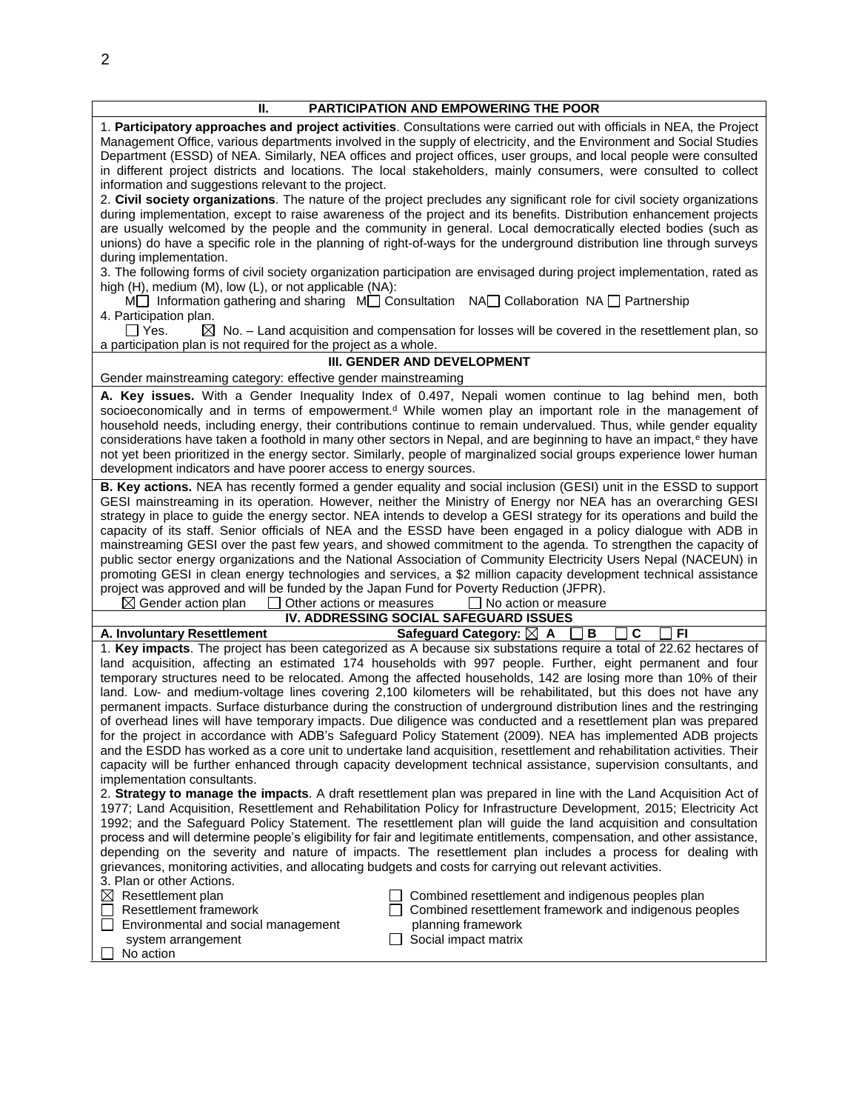| PARTICIPATION AND EMPOWERING THE POOR<br>П.                                                                                                                                                                                                                                                                                                                                                                                                                                                                                                                                                                                                                                                                                                                                                                                                                                                                                                                                                                                                                                       |
|-----------------------------------------------------------------------------------------------------------------------------------------------------------------------------------------------------------------------------------------------------------------------------------------------------------------------------------------------------------------------------------------------------------------------------------------------------------------------------------------------------------------------------------------------------------------------------------------------------------------------------------------------------------------------------------------------------------------------------------------------------------------------------------------------------------------------------------------------------------------------------------------------------------------------------------------------------------------------------------------------------------------------------------------------------------------------------------|
| 1. Participatory approaches and project activities. Consultations were carried out with officials in NEA, the Project<br>Management Office, various departments involved in the supply of electricity, and the Environment and Social Studies<br>Department (ESSD) of NEA. Similarly, NEA offices and project offices, user groups, and local people were consulted<br>in different project districts and locations. The local stakeholders, mainly consumers, were consulted to collect<br>information and suggestions relevant to the project.                                                                                                                                                                                                                                                                                                                                                                                                                                                                                                                                  |
| 2. Civil society organizations. The nature of the project precludes any significant role for civil society organizations<br>during implementation, except to raise awareness of the project and its benefits. Distribution enhancement projects<br>are usually welcomed by the people and the community in general. Local democratically elected bodies (such as<br>unions) do have a specific role in the planning of right-of-ways for the underground distribution line through surveys<br>during implementation.                                                                                                                                                                                                                                                                                                                                                                                                                                                                                                                                                              |
| 3. The following forms of civil society organization participation are envisaged during project implementation, rated as<br>high (H), medium (M), low (L), or not applicable (NA):                                                                                                                                                                                                                                                                                                                                                                                                                                                                                                                                                                                                                                                                                                                                                                                                                                                                                                |
| Monder Information gathering and sharing Monderstation NA Collaboration NA Partnership<br>4. Participation plan.<br>$\Box$ Yes.<br>$\boxtimes$ No. – Land acquisition and compensation for losses will be covered in the resettlement plan, so                                                                                                                                                                                                                                                                                                                                                                                                                                                                                                                                                                                                                                                                                                                                                                                                                                    |
| a participation plan is not required for the project as a whole.                                                                                                                                                                                                                                                                                                                                                                                                                                                                                                                                                                                                                                                                                                                                                                                                                                                                                                                                                                                                                  |
| III. GENDER AND DEVELOPMENT                                                                                                                                                                                                                                                                                                                                                                                                                                                                                                                                                                                                                                                                                                                                                                                                                                                                                                                                                                                                                                                       |
| Gender mainstreaming category: effective gender mainstreaming                                                                                                                                                                                                                                                                                                                                                                                                                                                                                                                                                                                                                                                                                                                                                                                                                                                                                                                                                                                                                     |
| A. Key issues. With a Gender Inequality Index of 0.497, Nepali women continue to lag behind men, both<br>socioeconomically and in terms of empowerment. <sup>d</sup> While women play an important role in the management of<br>household needs, including energy, their contributions continue to remain undervalued. Thus, while gender equality<br>considerations have taken a foothold in many other sectors in Nepal, and are beginning to have an impact, <sup>e</sup> they have<br>not yet been prioritized in the energy sector. Similarly, people of marginalized social groups experience lower human<br>development indicators and have poorer access to energy sources.                                                                                                                                                                                                                                                                                                                                                                                               |
| B. Key actions. NEA has recently formed a gender equality and social inclusion (GESI) unit in the ESSD to support<br>GESI mainstreaming in its operation. However, neither the Ministry of Energy nor NEA has an overarching GESI<br>strategy in place to guide the energy sector. NEA intends to develop a GESI strategy for its operations and build the<br>capacity of its staff. Senior officials of NEA and the ESSD have been engaged in a policy dialogue with ADB in<br>mainstreaming GESI over the past few years, and showed commitment to the agenda. To strengthen the capacity of<br>public sector energy organizations and the National Association of Community Electricity Users Nepal (NACEUN) in<br>promoting GESI in clean energy technologies and services, a \$2 million capacity development technical assistance<br>project was approved and will be funded by the Japan Fund for Poverty Reduction (JFPR).<br>$\boxtimes$ Gender action plan<br>Other actions or measures<br>$\Box$ No action or measure                                                  |
| IV. ADDRESSING SOCIAL SAFEGUARD ISSUES                                                                                                                                                                                                                                                                                                                                                                                                                                                                                                                                                                                                                                                                                                                                                                                                                                                                                                                                                                                                                                            |
| C<br><b>FI</b><br>Safeguard Category: ⊠ A<br>A. Involuntary Resettlement<br>В                                                                                                                                                                                                                                                                                                                                                                                                                                                                                                                                                                                                                                                                                                                                                                                                                                                                                                                                                                                                     |
| 1. Key impacts. The project has been categorized as A because six substations require a total of 22.62 hectares of<br>land acquisition, affecting an estimated 174 households with 997 people. Further, eight permanent and four<br>temporary structures need to be relocated. Among the affected households, 142 are losing more than 10% of their<br>land. Low- and medium-voltage lines covering 2,100 kilometers will be rehabilitated, but this does not have any<br>permanent impacts. Surface disturbance during the construction of underground distribution lines and the restringing<br>of overhead lines will have temporary impacts. Due diligence was conducted and a resettlement plan was prepared<br>for the project in accordance with ADB's Safeguard Policy Statement (2009). NEA has implemented ADB projects<br>and the ESDD has worked as a core unit to undertake land acquisition, resettlement and rehabilitation activities. Their<br>capacity will be further enhanced through capacity development technical assistance, supervision consultants, and |
| implementation consultants.<br>2. Strategy to manage the impacts. A draft resettlement plan was prepared in line with the Land Acquisition Act of<br>1977; Land Acquisition, Resettlement and Rehabilitation Policy for Infrastructure Development, 2015; Electricity Act<br>1992; and the Safeguard Policy Statement. The resettlement plan will guide the land acquisition and consultation<br>process and will determine people's eligibility for fair and legitimate entitlements, compensation, and other assistance,<br>depending on the severity and nature of impacts. The resettlement plan includes a process for dealing with<br>grievances, monitoring activities, and allocating budgets and costs for carrying out relevant activities.<br>3. Plan or other Actions.<br>$\boxtimes$ Resettlement plan<br>Combined resettlement and indigenous peoples plan<br>Resettlement framework<br>Combined resettlement framework and indigenous peoples<br>Environmental and social management<br>planning framework                                                         |
| Social impact matrix<br>system arrangement<br>No action                                                                                                                                                                                                                                                                                                                                                                                                                                                                                                                                                                                                                                                                                                                                                                                                                                                                                                                                                                                                                           |